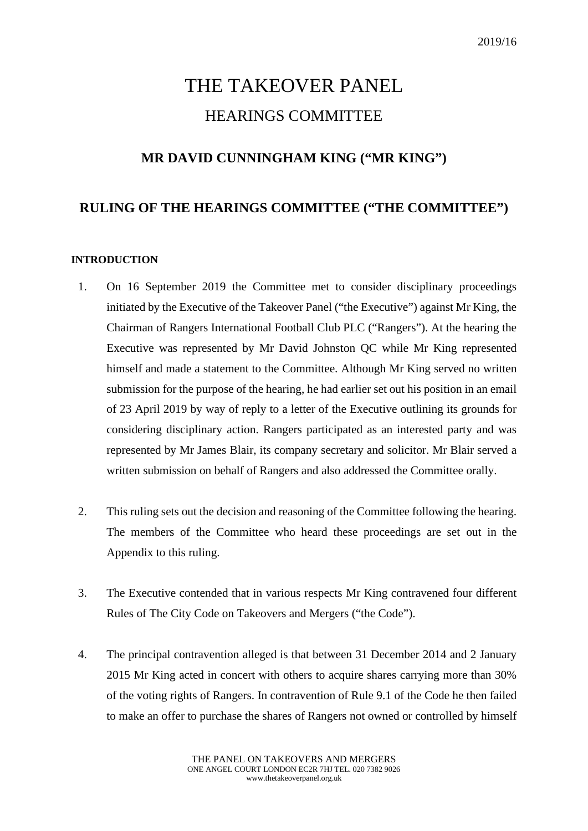# THE TAKEOVER PANEL HEARINGS COMMITTEE

# **MR DAVID CUNNINGHAM KING ("MR KING")**

### **RULING OF THE HEARINGS COMMITTEE ("THE COMMITTEE")**

#### **INTRODUCTION**

- 1. On 16 September 2019 the Committee met to consider disciplinary proceedings initiated by the Executive of the Takeover Panel ("the Executive") against Mr King, the Chairman of Rangers International Football Club PLC ("Rangers"). At the hearing the Executive was represented by Mr David Johnston QC while Mr King represented himself and made a statement to the Committee. Although Mr King served no written submission for the purpose of the hearing, he had earlier set out his position in an email of 23 April 2019 by way of reply to a letter of the Executive outlining its grounds for considering disciplinary action. Rangers participated as an interested party and was represented by Mr James Blair, its company secretary and solicitor. Mr Blair served a written submission on behalf of Rangers and also addressed the Committee orally.
- 2. This ruling sets out the decision and reasoning of the Committee following the hearing. The members of the Committee who heard these proceedings are set out in the Appendix to this ruling.
- 3. The Executive contended that in various respects Mr King contravened four different Rules of The City Code on Takeovers and Mergers ("the Code").
- 4. The principal contravention alleged is that between 31 December 2014 and 2 January 2015 Mr King acted in concert with others to acquire shares carrying more than 30% of the voting rights of Rangers. In contravention of Rule 9.1 of the Code he then failed to make an offer to purchase the shares of Rangers not owned or controlled by himself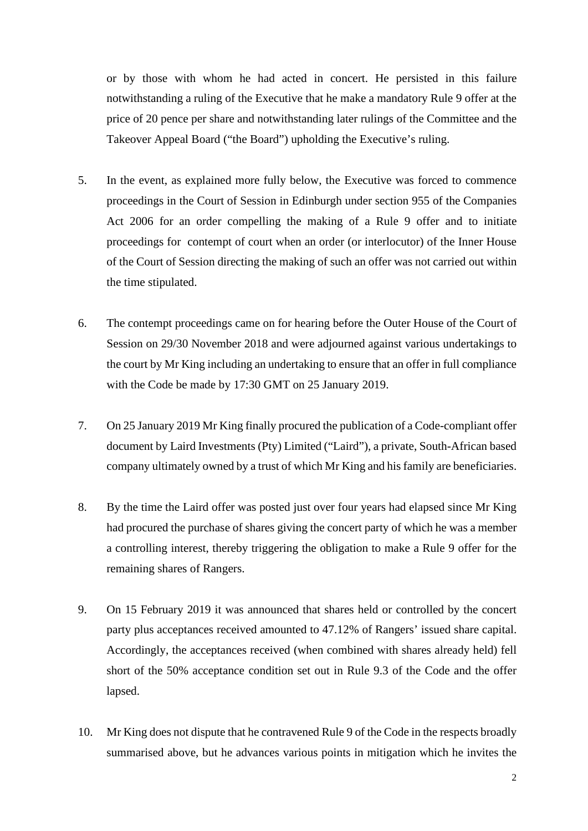or by those with whom he had acted in concert. He persisted in this failure notwithstanding a ruling of the Executive that he make a mandatory Rule 9 offer at the price of 20 pence per share and notwithstanding later rulings of the Committee and the Takeover Appeal Board ("the Board") upholding the Executive's ruling.

- 5. In the event, as explained more fully below, the Executive was forced to commence proceedings in the Court of Session in Edinburgh under section 955 of the Companies Act 2006 for an order compelling the making of a Rule 9 offer and to initiate proceedings for contempt of court when an order (or interlocutor) of the Inner House of the Court of Session directing the making of such an offer was not carried out within the time stipulated.
- 6. The contempt proceedings came on for hearing before the Outer House of the Court of Session on 29/30 November 2018 and were adjourned against various undertakings to the court by Mr King including an undertaking to ensure that an offer in full compliance with the Code be made by 17:30 GMT on 25 January 2019.
- 7. On 25 January 2019 Mr King finally procured the publication of a Code-compliant offer document by Laird Investments (Pty) Limited ("Laird"), a private, South-African based company ultimately owned by a trust of which Mr King and his family are beneficiaries.
- 8. By the time the Laird offer was posted just over four years had elapsed since Mr King had procured the purchase of shares giving the concert party of which he was a member a controlling interest, thereby triggering the obligation to make a Rule 9 offer for the remaining shares of Rangers.
- 9. On 15 February 2019 it was announced that shares held or controlled by the concert party plus acceptances received amounted to 47.12% of Rangers' issued share capital. Accordingly, the acceptances received (when combined with shares already held) fell short of the 50% acceptance condition set out in Rule 9.3 of the Code and the offer lapsed.
- 10. Mr King does not dispute that he contravened Rule 9 of the Code in the respects broadly summarised above, but he advances various points in mitigation which he invites the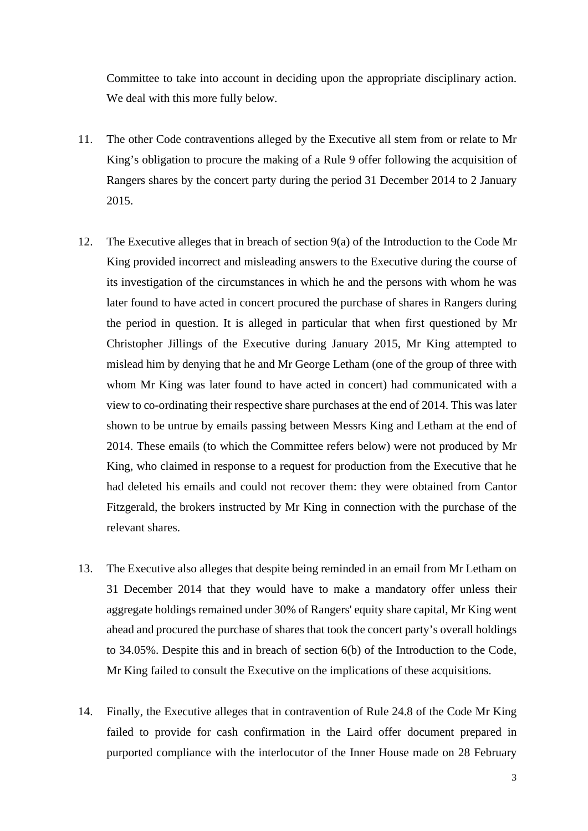Committee to take into account in deciding upon the appropriate disciplinary action. We deal with this more fully below.

- 11. The other Code contraventions alleged by the Executive all stem from or relate to Mr King's obligation to procure the making of a Rule 9 offer following the acquisition of Rangers shares by the concert party during the period 31 December 2014 to 2 January 2015.
- 12. The Executive alleges that in breach of section 9(a) of the Introduction to the Code Mr King provided incorrect and misleading answers to the Executive during the course of its investigation of the circumstances in which he and the persons with whom he was later found to have acted in concert procured the purchase of shares in Rangers during the period in question. It is alleged in particular that when first questioned by Mr Christopher Jillings of the Executive during January 2015, Mr King attempted to mislead him by denying that he and Mr George Letham (one of the group of three with whom Mr King was later found to have acted in concert) had communicated with a view to co-ordinating their respective share purchases at the end of 2014. This was later shown to be untrue by emails passing between Messrs King and Letham at the end of 2014. These emails (to which the Committee refers below) were not produced by Mr King, who claimed in response to a request for production from the Executive that he had deleted his emails and could not recover them: they were obtained from Cantor Fitzgerald, the brokers instructed by Mr King in connection with the purchase of the relevant shares.
- 13. The Executive also alleges that despite being reminded in an email from Mr Letham on 31 December 2014 that they would have to make a mandatory offer unless their aggregate holdings remained under 30% of Rangers' equity share capital, Mr King went ahead and procured the purchase of shares that took the concert party's overall holdings to 34.05%. Despite this and in breach of section 6(b) of the Introduction to the Code, Mr King failed to consult the Executive on the implications of these acquisitions.
- 14. Finally, the Executive alleges that in contravention of Rule 24.8 of the Code Mr King failed to provide for cash confirmation in the Laird offer document prepared in purported compliance with the interlocutor of the Inner House made on 28 February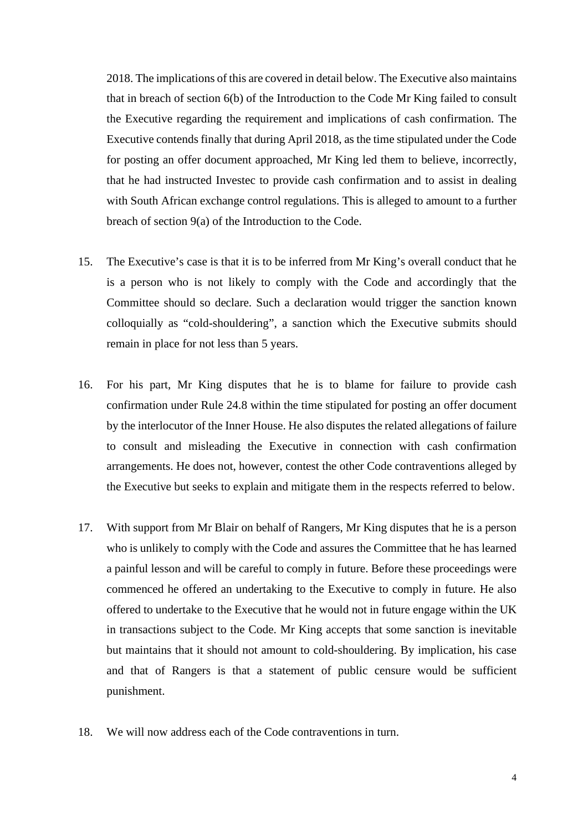2018. The implications of this are covered in detail below. The Executive also maintains that in breach of section 6(b) of the Introduction to the Code Mr King failed to consult the Executive regarding the requirement and implications of cash confirmation. The Executive contends finally that during April 2018, as the time stipulated under the Code for posting an offer document approached, Mr King led them to believe, incorrectly, that he had instructed Investec to provide cash confirmation and to assist in dealing with South African exchange control regulations. This is alleged to amount to a further breach of section 9(a) of the Introduction to the Code.

- 15. The Executive's case is that it is to be inferred from Mr King's overall conduct that he is a person who is not likely to comply with the Code and accordingly that the Committee should so declare. Such a declaration would trigger the sanction known colloquially as "cold-shouldering", a sanction which the Executive submits should remain in place for not less than 5 years.
- 16. For his part, Mr King disputes that he is to blame for failure to provide cash confirmation under Rule 24.8 within the time stipulated for posting an offer document by the interlocutor of the Inner House. He also disputes the related allegations of failure to consult and misleading the Executive in connection with cash confirmation arrangements. He does not, however, contest the other Code contraventions alleged by the Executive but seeks to explain and mitigate them in the respects referred to below.
- 17. With support from Mr Blair on behalf of Rangers, Mr King disputes that he is a person who is unlikely to comply with the Code and assures the Committee that he has learned a painful lesson and will be careful to comply in future. Before these proceedings were commenced he offered an undertaking to the Executive to comply in future. He also offered to undertake to the Executive that he would not in future engage within the UK in transactions subject to the Code. Mr King accepts that some sanction is inevitable but maintains that it should not amount to cold-shouldering. By implication, his case and that of Rangers is that a statement of public censure would be sufficient punishment.
- 18. We will now address each of the Code contraventions in turn.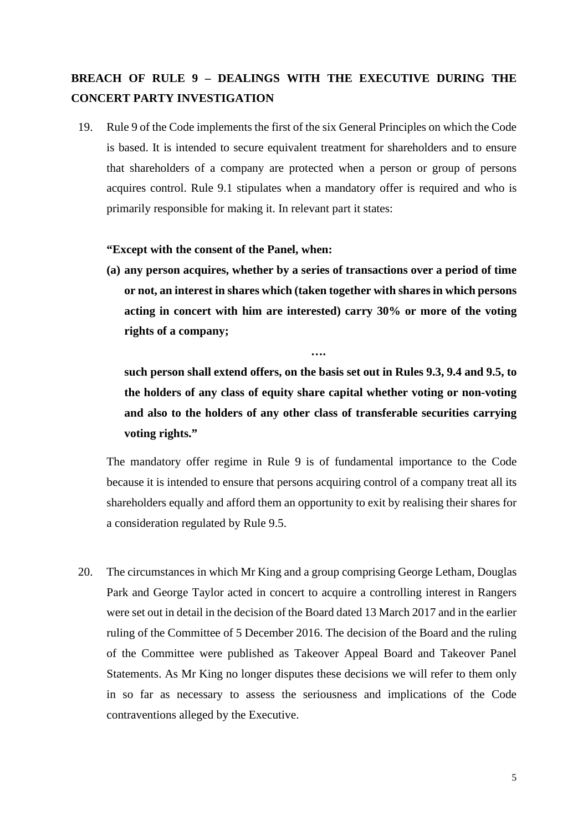## **BREACH OF RULE 9 – DEALINGS WITH THE EXECUTIVE DURING THE CONCERT PARTY INVESTIGATION**

19. Rule 9 of the Code implements the first of the six General Principles on which the Code is based. It is intended to secure equivalent treatment for shareholders and to ensure that shareholders of a company are protected when a person or group of persons acquires control. Rule 9.1 stipulates when a mandatory offer is required and who is primarily responsible for making it. In relevant part it states:

#### **"Except with the consent of the Panel, when:**

 **….**

**(a) any person acquires, whether by a series of transactions over a period of time or not, an interest in shares which (taken together with shares in which persons acting in concert with him are interested) carry 30% or more of the voting rights of a company;**

**such person shall extend offers, on the basis set out in Rules 9.3, 9.4 and 9.5, to the holders of any class of equity share capital whether voting or non-voting and also to the holders of any other class of transferable securities carrying voting rights."**

The mandatory offer regime in Rule 9 is of fundamental importance to the Code because it is intended to ensure that persons acquiring control of a company treat all its shareholders equally and afford them an opportunity to exit by realising their shares for a consideration regulated by Rule 9.5.

20. The circumstances in which Mr King and a group comprising George Letham, Douglas Park and George Taylor acted in concert to acquire a controlling interest in Rangers were set out in detail in the decision of the Board dated 13 March 2017 and in the earlier ruling of the Committee of 5 December 2016. The decision of the Board and the ruling of the Committee were published as Takeover Appeal Board and Takeover Panel Statements. As Mr King no longer disputes these decisions we will refer to them only in so far as necessary to assess the seriousness and implications of the Code contraventions alleged by the Executive.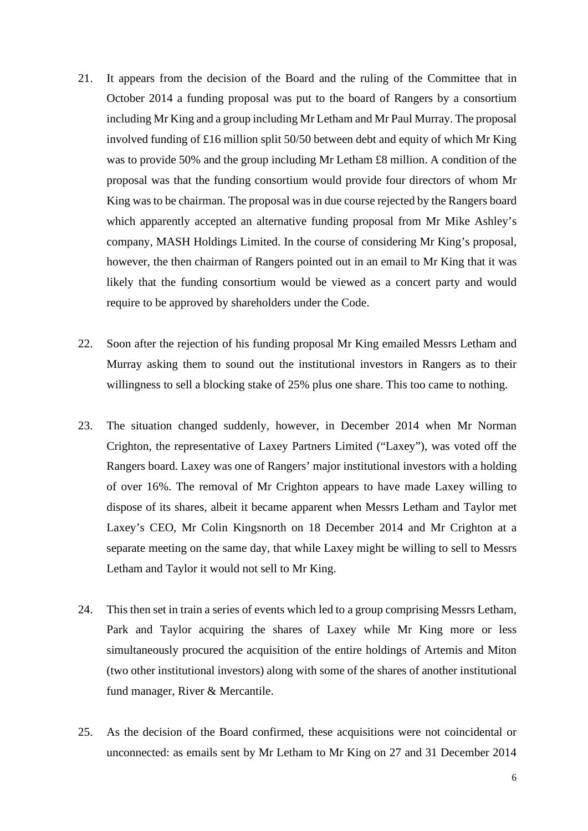- 21. It appears from the decision of the Board and the ruling of the Committee that in October 2014 a funding proposal was put to the board of Rangers by a consortium including Mr King and a group including Mr Letham and Mr Paul Murray. The proposal involved funding of £16 million split 50/50 between debt and equity of which Mr King was to provide 50% and the group including Mr Letham £8 million. A condition of the proposal was that the funding consortium would provide four directors of whom Mr King was to be chairman. The proposal was in due course rejected by the Rangers board which apparently accepted an alternative funding proposal from Mr Mike Ashley's company, MASH Holdings Limited. In the course of considering Mr King's proposal, however, the then chairman of Rangers pointed out in an email to Mr King that it was likely that the funding consortium would be viewed as a concert party and would require to be approved by shareholders under the Code.
- 22. Soon after the rejection of his funding proposal Mr King emailed Messrs Letham and Murray asking them to sound out the institutional investors in Rangers as to their willingness to sell a blocking stake of 25% plus one share. This too came to nothing.
- 23. The situation changed suddenly, however, in December 2014 when Mr Norman Crighton, the representative of Laxey Partners Limited ("Laxey"), was voted off the Rangers board. Laxey was one of Rangers' major institutional investors with a holding of over 16%. The removal of Mr Crighton appears to have made Laxey willing to dispose of its shares, albeit it became apparent when Messrs Letham and Taylor met Laxey's CEO, Mr Colin Kingsnorth on 18 December 2014 and Mr Crighton at a separate meeting on the same day, that while Laxey might be willing to sell to Messrs Letham and Taylor it would not sell to Mr King.
- 24. This then set in train a series of events which led to a group comprising Messrs Letham, Park and Taylor acquiring the shares of Laxey while Mr King more or less simultaneously procured the acquisition of the entire holdings of Artemis and Miton (two other institutional investors) along with some of the shares of another institutional fund manager, River & Mercantile.
- 25. As the decision of the Board confirmed, these acquisitions were not coincidental or unconnected: as emails sent by Mr Letham to Mr King on 27 and 31 December 2014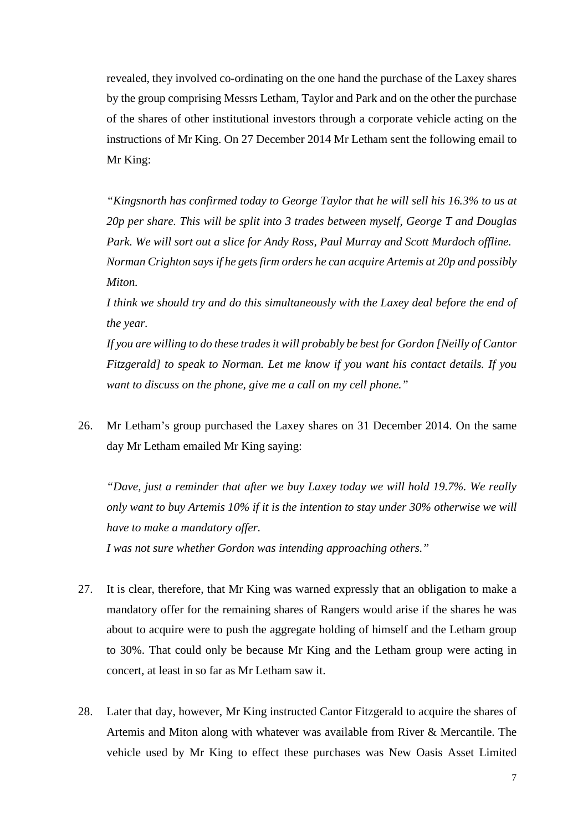revealed, they involved co-ordinating on the one hand the purchase of the Laxey shares by the group comprising Messrs Letham, Taylor and Park and on the other the purchase of the shares of other institutional investors through a corporate vehicle acting on the instructions of Mr King. On 27 December 2014 Mr Letham sent the following email to Mr King:

*"Kingsnorth has confirmed today to George Taylor that he will sell his 16.3% to us at 20p per share. This will be split into 3 trades between myself, George T and Douglas Park. We will sort out a slice for Andy Ross, Paul Murray and Scott Murdoch offline. Norman Crighton says if he gets firm orders he can acquire Artemis at 20p and possibly Miton.*

*I think we should try and do this simultaneously with the Laxey deal before the end of the year.* 

*If you are willing to do these trades it will probably be best for Gordon [Neilly of Cantor Fitzgerald] to speak to Norman. Let me know if you want his contact details. If you want to discuss on the phone, give me a call on my cell phone."*

26. Mr Letham's group purchased the Laxey shares on 31 December 2014. On the same day Mr Letham emailed Mr King saying:

*"Dave, just a reminder that after we buy Laxey today we will hold 19.7%. We really only want to buy Artemis 10% if it is the intention to stay under 30% otherwise we will have to make a mandatory offer.* 

*I was not sure whether Gordon was intending approaching others."*

- 27. It is clear, therefore, that Mr King was warned expressly that an obligation to make a mandatory offer for the remaining shares of Rangers would arise if the shares he was about to acquire were to push the aggregate holding of himself and the Letham group to 30%. That could only be because Mr King and the Letham group were acting in concert, at least in so far as Mr Letham saw it.
- 28. Later that day, however, Mr King instructed Cantor Fitzgerald to acquire the shares of Artemis and Miton along with whatever was available from River & Mercantile. The vehicle used by Mr King to effect these purchases was New Oasis Asset Limited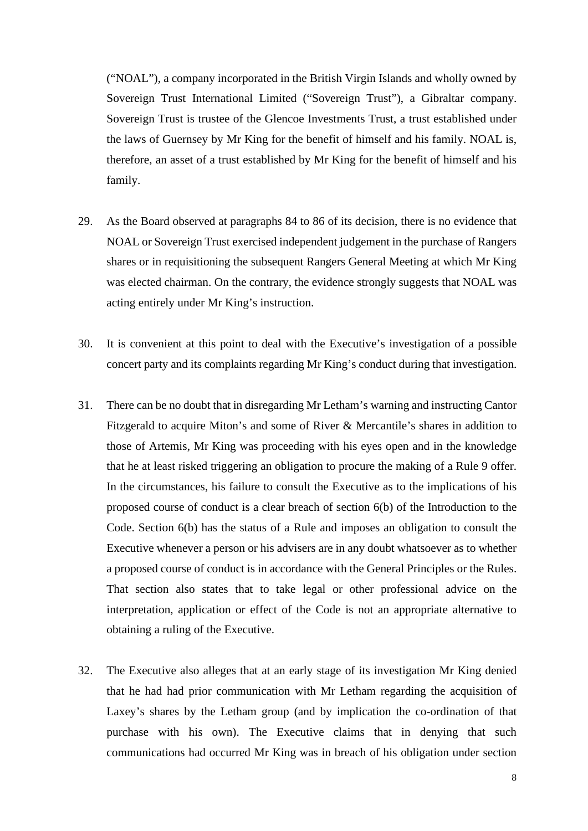("NOAL"), a company incorporated in the British Virgin Islands and wholly owned by Sovereign Trust International Limited ("Sovereign Trust"), a Gibraltar company. Sovereign Trust is trustee of the Glencoe Investments Trust, a trust established under the laws of Guernsey by Mr King for the benefit of himself and his family. NOAL is, therefore, an asset of a trust established by Mr King for the benefit of himself and his family.

- 29. As the Board observed at paragraphs 84 to 86 of its decision, there is no evidence that NOAL or Sovereign Trust exercised independent judgement in the purchase of Rangers shares or in requisitioning the subsequent Rangers General Meeting at which Mr King was elected chairman. On the contrary, the evidence strongly suggests that NOAL was acting entirely under Mr King's instruction.
- 30. It is convenient at this point to deal with the Executive's investigation of a possible concert party and its complaints regarding Mr King's conduct during that investigation.
- 31. There can be no doubt that in disregarding Mr Letham's warning and instructing Cantor Fitzgerald to acquire Miton's and some of River & Mercantile's shares in addition to those of Artemis, Mr King was proceeding with his eyes open and in the knowledge that he at least risked triggering an obligation to procure the making of a Rule 9 offer. In the circumstances, his failure to consult the Executive as to the implications of his proposed course of conduct is a clear breach of section 6(b) of the Introduction to the Code. Section 6(b) has the status of a Rule and imposes an obligation to consult the Executive whenever a person or his advisers are in any doubt whatsoever as to whether a proposed course of conduct is in accordance with the General Principles or the Rules. That section also states that to take legal or other professional advice on the interpretation, application or effect of the Code is not an appropriate alternative to obtaining a ruling of the Executive.
- 32. The Executive also alleges that at an early stage of its investigation Mr King denied that he had had prior communication with Mr Letham regarding the acquisition of Laxey's shares by the Letham group (and by implication the co-ordination of that purchase with his own). The Executive claims that in denying that such communications had occurred Mr King was in breach of his obligation under section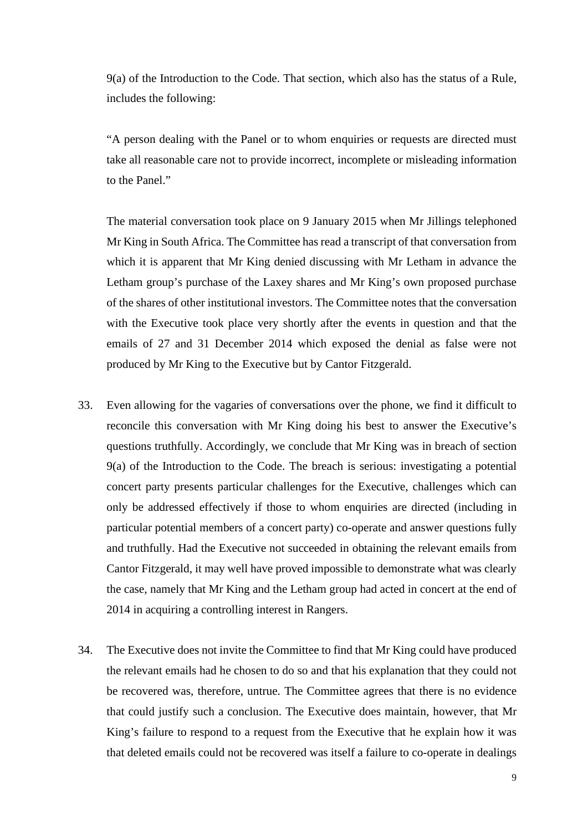9(a) of the Introduction to the Code. That section, which also has the status of a Rule, includes the following:

"A person dealing with the Panel or to whom enquiries or requests are directed must take all reasonable care not to provide incorrect, incomplete or misleading information to the Panel."

The material conversation took place on 9 January 2015 when Mr Jillings telephoned Mr King in South Africa. The Committee has read a transcript of that conversation from which it is apparent that Mr King denied discussing with Mr Letham in advance the Letham group's purchase of the Laxey shares and Mr King's own proposed purchase of the shares of other institutional investors. The Committee notes that the conversation with the Executive took place very shortly after the events in question and that the emails of 27 and 31 December 2014 which exposed the denial as false were not produced by Mr King to the Executive but by Cantor Fitzgerald.

- 33. Even allowing for the vagaries of conversations over the phone, we find it difficult to reconcile this conversation with Mr King doing his best to answer the Executive's questions truthfully. Accordingly, we conclude that Mr King was in breach of section 9(a) of the Introduction to the Code. The breach is serious: investigating a potential concert party presents particular challenges for the Executive, challenges which can only be addressed effectively if those to whom enquiries are directed (including in particular potential members of a concert party) co-operate and answer questions fully and truthfully. Had the Executive not succeeded in obtaining the relevant emails from Cantor Fitzgerald, it may well have proved impossible to demonstrate what was clearly the case, namely that Mr King and the Letham group had acted in concert at the end of 2014 in acquiring a controlling interest in Rangers.
- 34. The Executive does not invite the Committee to find that Mr King could have produced the relevant emails had he chosen to do so and that his explanation that they could not be recovered was, therefore, untrue. The Committee agrees that there is no evidence that could justify such a conclusion. The Executive does maintain, however, that Mr King's failure to respond to a request from the Executive that he explain how it was that deleted emails could not be recovered was itself a failure to co-operate in dealings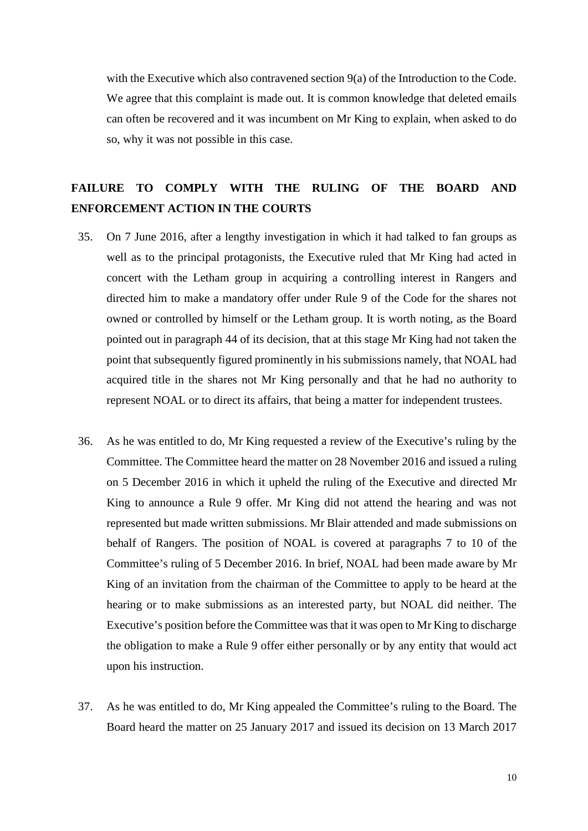with the Executive which also contravened section 9(a) of the Introduction to the Code. We agree that this complaint is made out. It is common knowledge that deleted emails can often be recovered and it was incumbent on Mr King to explain, when asked to do so, why it was not possible in this case.

# **FAILURE TO COMPLY WITH THE RULING OF THE BOARD AND ENFORCEMENT ACTION IN THE COURTS**

- 35. On 7 June 2016, after a lengthy investigation in which it had talked to fan groups as well as to the principal protagonists, the Executive ruled that Mr King had acted in concert with the Letham group in acquiring a controlling interest in Rangers and directed him to make a mandatory offer under Rule 9 of the Code for the shares not owned or controlled by himself or the Letham group. It is worth noting, as the Board pointed out in paragraph 44 of its decision, that at this stage Mr King had not taken the point that subsequently figured prominently in his submissions namely, that NOAL had acquired title in the shares not Mr King personally and that he had no authority to represent NOAL or to direct its affairs, that being a matter for independent trustees.
- 36. As he was entitled to do, Mr King requested a review of the Executive's ruling by the Committee. The Committee heard the matter on 28 November 2016 and issued a ruling on 5 December 2016 in which it upheld the ruling of the Executive and directed Mr King to announce a Rule 9 offer. Mr King did not attend the hearing and was not represented but made written submissions. Mr Blair attended and made submissions on behalf of Rangers. The position of NOAL is covered at paragraphs 7 to 10 of the Committee's ruling of 5 December 2016. In brief, NOAL had been made aware by Mr King of an invitation from the chairman of the Committee to apply to be heard at the hearing or to make submissions as an interested party, but NOAL did neither. The Executive's position before the Committee was that it was open to Mr King to discharge the obligation to make a Rule 9 offer either personally or by any entity that would act upon his instruction.
- 37. As he was entitled to do, Mr King appealed the Committee's ruling to the Board. The Board heard the matter on 25 January 2017 and issued its decision on 13 March 2017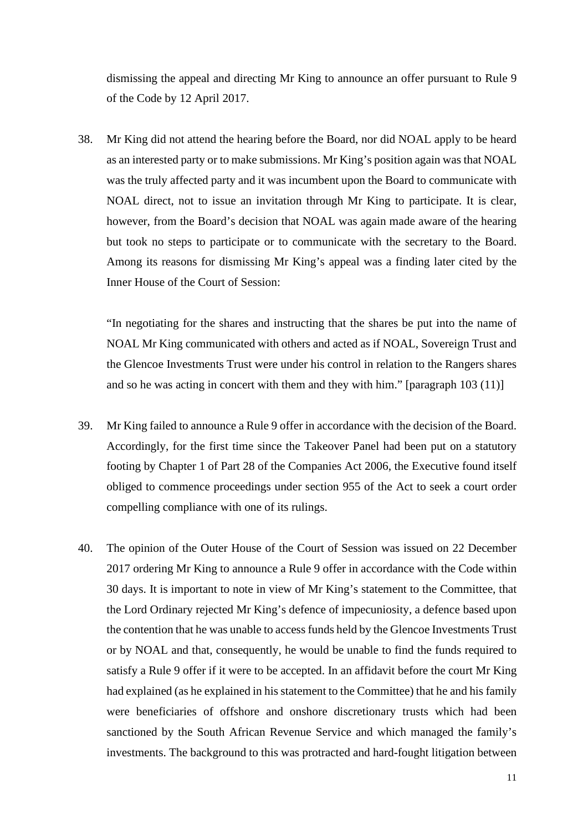dismissing the appeal and directing Mr King to announce an offer pursuant to Rule 9 of the Code by 12 April 2017.

38. Mr King did not attend the hearing before the Board, nor did NOAL apply to be heard as an interested party or to make submissions. Mr King's position again was that NOAL was the truly affected party and it was incumbent upon the Board to communicate with NOAL direct, not to issue an invitation through Mr King to participate. It is clear, however, from the Board's decision that NOAL was again made aware of the hearing but took no steps to participate or to communicate with the secretary to the Board. Among its reasons for dismissing Mr King's appeal was a finding later cited by the Inner House of the Court of Session:

"In negotiating for the shares and instructing that the shares be put into the name of NOAL Mr King communicated with others and acted as if NOAL, Sovereign Trust and the Glencoe Investments Trust were under his control in relation to the Rangers shares and so he was acting in concert with them and they with him." [paragraph 103 (11)]

- 39. Mr King failed to announce a Rule 9 offer in accordance with the decision of the Board. Accordingly, for the first time since the Takeover Panel had been put on a statutory footing by Chapter 1 of Part 28 of the Companies Act 2006, the Executive found itself obliged to commence proceedings under section 955 of the Act to seek a court order compelling compliance with one of its rulings.
- 40. The opinion of the Outer House of the Court of Session was issued on 22 December 2017 ordering Mr King to announce a Rule 9 offer in accordance with the Code within 30 days. It is important to note in view of Mr King's statement to the Committee, that the Lord Ordinary rejected Mr King's defence of impecuniosity, a defence based upon the contention that he was unable to access funds held by the Glencoe Investments Trust or by NOAL and that, consequently, he would be unable to find the funds required to satisfy a Rule 9 offer if it were to be accepted. In an affidavit before the court Mr King had explained (as he explained in his statement to the Committee) that he and his family were beneficiaries of offshore and onshore discretionary trusts which had been sanctioned by the South African Revenue Service and which managed the family's investments. The background to this was protracted and hard-fought litigation between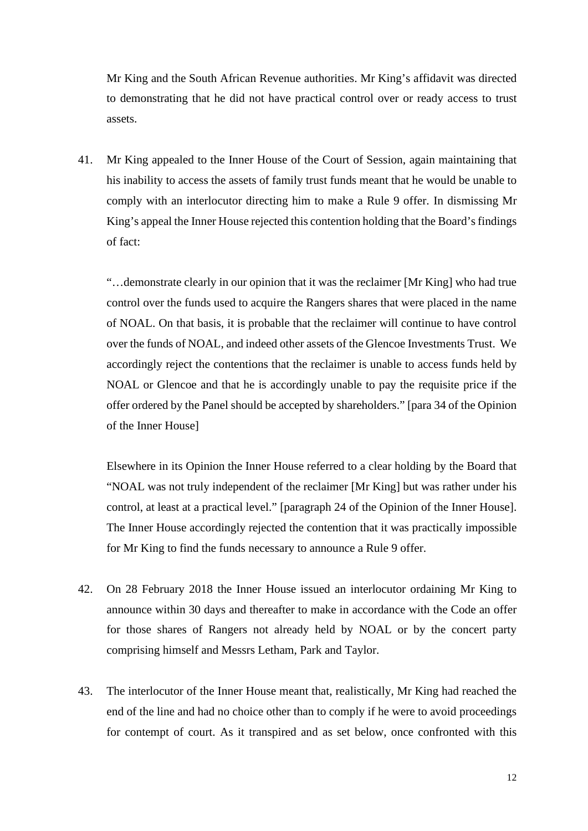Mr King and the South African Revenue authorities. Mr King's affidavit was directed to demonstrating that he did not have practical control over or ready access to trust assets.

41. Mr King appealed to the Inner House of the Court of Session, again maintaining that his inability to access the assets of family trust funds meant that he would be unable to comply with an interlocutor directing him to make a Rule 9 offer. In dismissing Mr King's appeal the Inner House rejected this contention holding that the Board's findings of fact:

"…demonstrate clearly in our opinion that it was the reclaimer [Mr King] who had true control over the funds used to acquire the Rangers shares that were placed in the name of NOAL. On that basis, it is probable that the reclaimer will continue to have control over the funds of NOAL, and indeed other assets of the Glencoe Investments Trust. We accordingly reject the contentions that the reclaimer is unable to access funds held by NOAL or Glencoe and that he is accordingly unable to pay the requisite price if the offer ordered by the Panel should be accepted by shareholders." [para 34 of the Opinion of the Inner House]

Elsewhere in its Opinion the Inner House referred to a clear holding by the Board that "NOAL was not truly independent of the reclaimer [Mr King] but was rather under his control, at least at a practical level." [paragraph 24 of the Opinion of the Inner House]. The Inner House accordingly rejected the contention that it was practically impossible for Mr King to find the funds necessary to announce a Rule 9 offer.

- 42. On 28 February 2018 the Inner House issued an interlocutor ordaining Mr King to announce within 30 days and thereafter to make in accordance with the Code an offer for those shares of Rangers not already held by NOAL or by the concert party comprising himself and Messrs Letham, Park and Taylor.
- 43. The interlocutor of the Inner House meant that, realistically, Mr King had reached the end of the line and had no choice other than to comply if he were to avoid proceedings for contempt of court. As it transpired and as set below, once confronted with this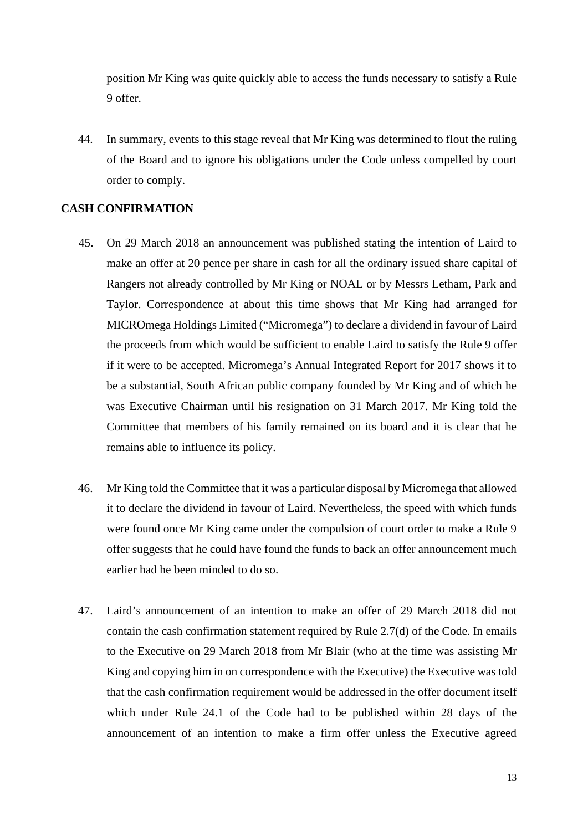position Mr King was quite quickly able to access the funds necessary to satisfy a Rule 9 offer.

44. In summary, events to this stage reveal that Mr King was determined to flout the ruling of the Board and to ignore his obligations under the Code unless compelled by court order to comply.

#### **CASH CONFIRMATION**

- 45. On 29 March 2018 an announcement was published stating the intention of Laird to make an offer at 20 pence per share in cash for all the ordinary issued share capital of Rangers not already controlled by Mr King or NOAL or by Messrs Letham, Park and Taylor. Correspondence at about this time shows that Mr King had arranged for MICROmega Holdings Limited ("Micromega") to declare a dividend in favour of Laird the proceeds from which would be sufficient to enable Laird to satisfy the Rule 9 offer if it were to be accepted. Micromega's Annual Integrated Report for 2017 shows it to be a substantial, South African public company founded by Mr King and of which he was Executive Chairman until his resignation on 31 March 2017. Mr King told the Committee that members of his family remained on its board and it is clear that he remains able to influence its policy.
- 46. Mr King told the Committee that it was a particular disposal by Micromega that allowed it to declare the dividend in favour of Laird. Nevertheless, the speed with which funds were found once Mr King came under the compulsion of court order to make a Rule 9 offer suggests that he could have found the funds to back an offer announcement much earlier had he been minded to do so.
- 47. Laird's announcement of an intention to make an offer of 29 March 2018 did not contain the cash confirmation statement required by Rule 2.7(d) of the Code. In emails to the Executive on 29 March 2018 from Mr Blair (who at the time was assisting Mr King and copying him in on correspondence with the Executive) the Executive was told that the cash confirmation requirement would be addressed in the offer document itself which under Rule 24.1 of the Code had to be published within 28 days of the announcement of an intention to make a firm offer unless the Executive agreed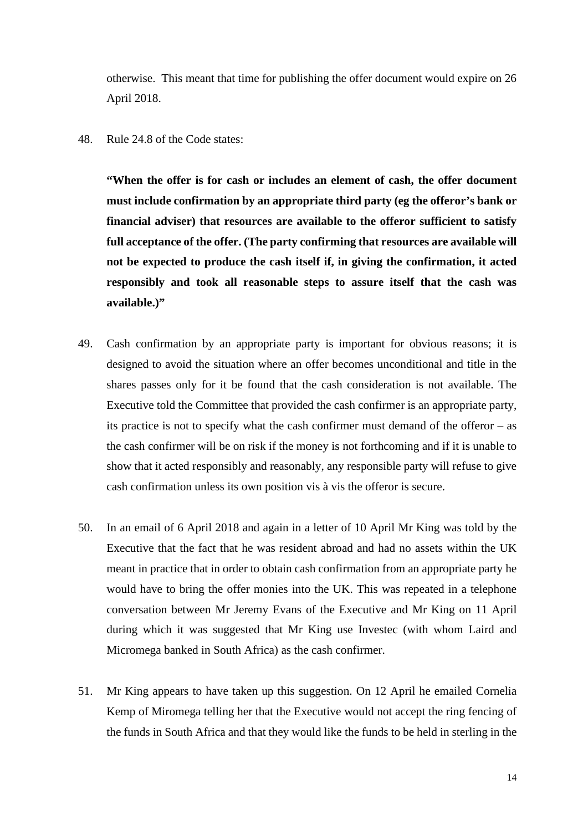otherwise. This meant that time for publishing the offer document would expire on 26 April 2018.

48. Rule 24.8 of the Code states:

**"When the offer is for cash or includes an element of cash, the offer document must include confirmation by an appropriate third party (eg the offeror's bank or financial adviser) that resources are available to the offeror sufficient to satisfy full acceptance of the offer. (The party confirming that resources are available will not be expected to produce the cash itself if, in giving the confirmation, it acted responsibly and took all reasonable steps to assure itself that the cash was available.)"**

- 49. Cash confirmation by an appropriate party is important for obvious reasons; it is designed to avoid the situation where an offer becomes unconditional and title in the shares passes only for it be found that the cash consideration is not available. The Executive told the Committee that provided the cash confirmer is an appropriate party, its practice is not to specify what the cash confirmer must demand of the offeror – as the cash confirmer will be on risk if the money is not forthcoming and if it is unable to show that it acted responsibly and reasonably, any responsible party will refuse to give cash confirmation unless its own position vis à vis the offeror is secure.
- 50. In an email of 6 April 2018 and again in a letter of 10 April Mr King was told by the Executive that the fact that he was resident abroad and had no assets within the UK meant in practice that in order to obtain cash confirmation from an appropriate party he would have to bring the offer monies into the UK. This was repeated in a telephone conversation between Mr Jeremy Evans of the Executive and Mr King on 11 April during which it was suggested that Mr King use Investec (with whom Laird and Micromega banked in South Africa) as the cash confirmer.
- 51. Mr King appears to have taken up this suggestion. On 12 April he emailed Cornelia Kemp of Miromega telling her that the Executive would not accept the ring fencing of the funds in South Africa and that they would like the funds to be held in sterling in the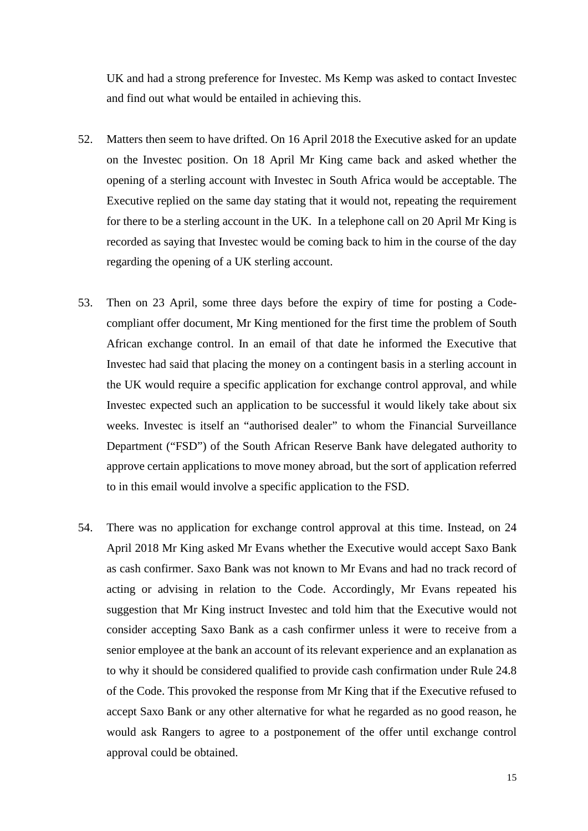UK and had a strong preference for Investec. Ms Kemp was asked to contact Investec and find out what would be entailed in achieving this.

- 52. Matters then seem to have drifted. On 16 April 2018 the Executive asked for an update on the Investec position. On 18 April Mr King came back and asked whether the opening of a sterling account with Investec in South Africa would be acceptable. The Executive replied on the same day stating that it would not, repeating the requirement for there to be a sterling account in the UK. In a telephone call on 20 April Mr King is recorded as saying that Investec would be coming back to him in the course of the day regarding the opening of a UK sterling account.
- 53. Then on 23 April, some three days before the expiry of time for posting a Codecompliant offer document, Mr King mentioned for the first time the problem of South African exchange control. In an email of that date he informed the Executive that Investec had said that placing the money on a contingent basis in a sterling account in the UK would require a specific application for exchange control approval, and while Investec expected such an application to be successful it would likely take about six weeks. Investec is itself an "authorised dealer" to whom the Financial Surveillance Department ("FSD") of the South African Reserve Bank have delegated authority to approve certain applications to move money abroad, but the sort of application referred to in this email would involve a specific application to the FSD.
- 54. There was no application for exchange control approval at this time. Instead, on 24 April 2018 Mr King asked Mr Evans whether the Executive would accept Saxo Bank as cash confirmer. Saxo Bank was not known to Mr Evans and had no track record of acting or advising in relation to the Code. Accordingly, Mr Evans repeated his suggestion that Mr King instruct Investec and told him that the Executive would not consider accepting Saxo Bank as a cash confirmer unless it were to receive from a senior employee at the bank an account of its relevant experience and an explanation as to why it should be considered qualified to provide cash confirmation under Rule 24.8 of the Code. This provoked the response from Mr King that if the Executive refused to accept Saxo Bank or any other alternative for what he regarded as no good reason, he would ask Rangers to agree to a postponement of the offer until exchange control approval could be obtained.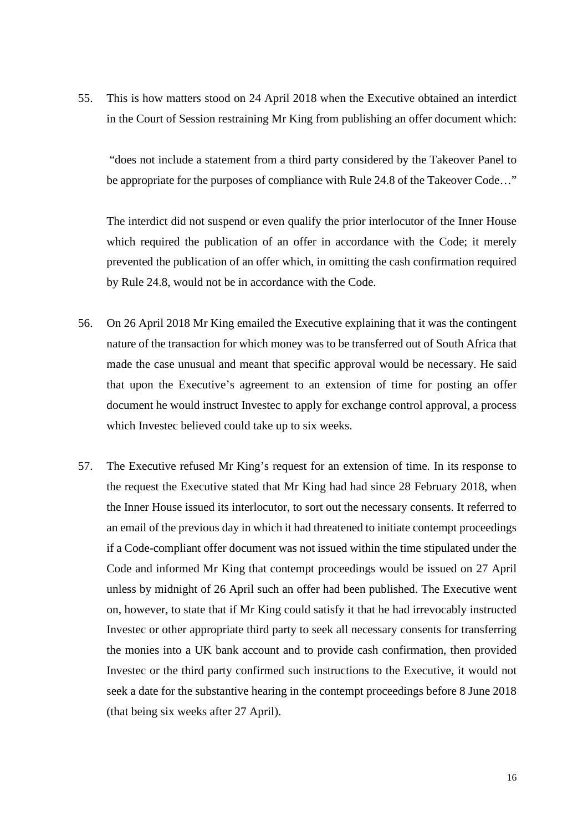55. This is how matters stood on 24 April 2018 when the Executive obtained an interdict in the Court of Session restraining Mr King from publishing an offer document which:

"does not include a statement from a third party considered by the Takeover Panel to be appropriate for the purposes of compliance with Rule 24.8 of the Takeover Code…"

The interdict did not suspend or even qualify the prior interlocutor of the Inner House which required the publication of an offer in accordance with the Code; it merely prevented the publication of an offer which, in omitting the cash confirmation required by Rule 24.8, would not be in accordance with the Code.

- 56. On 26 April 2018 Mr King emailed the Executive explaining that it was the contingent nature of the transaction for which money was to be transferred out of South Africa that made the case unusual and meant that specific approval would be necessary. He said that upon the Executive's agreement to an extension of time for posting an offer document he would instruct Investec to apply for exchange control approval, a process which Investec believed could take up to six weeks.
- 57. The Executive refused Mr King's request for an extension of time. In its response to the request the Executive stated that Mr King had had since 28 February 2018, when the Inner House issued its interlocutor, to sort out the necessary consents. It referred to an email of the previous day in which it had threatened to initiate contempt proceedings if a Code-compliant offer document was not issued within the time stipulated under the Code and informed Mr King that contempt proceedings would be issued on 27 April unless by midnight of 26 April such an offer had been published. The Executive went on, however, to state that if Mr King could satisfy it that he had irrevocably instructed Investec or other appropriate third party to seek all necessary consents for transferring the monies into a UK bank account and to provide cash confirmation, then provided Investec or the third party confirmed such instructions to the Executive, it would not seek a date for the substantive hearing in the contempt proceedings before 8 June 2018 (that being six weeks after 27 April).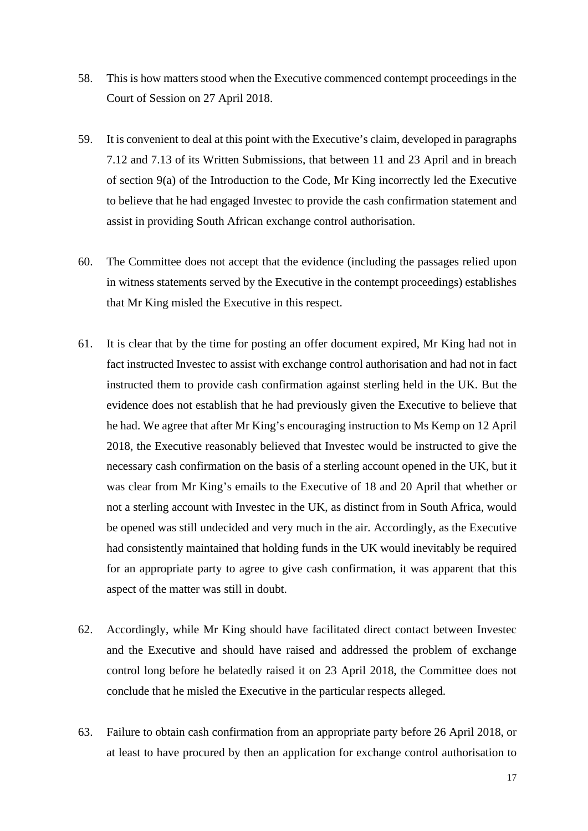- 58. This is how matters stood when the Executive commenced contempt proceedings in the Court of Session on 27 April 2018.
- 59. It is convenient to deal at this point with the Executive's claim, developed in paragraphs 7.12 and 7.13 of its Written Submissions, that between 11 and 23 April and in breach of section 9(a) of the Introduction to the Code, Mr King incorrectly led the Executive to believe that he had engaged Investec to provide the cash confirmation statement and assist in providing South African exchange control authorisation.
- 60. The Committee does not accept that the evidence (including the passages relied upon in witness statements served by the Executive in the contempt proceedings) establishes that Mr King misled the Executive in this respect.
- 61. It is clear that by the time for posting an offer document expired, Mr King had not in fact instructed Investec to assist with exchange control authorisation and had not in fact instructed them to provide cash confirmation against sterling held in the UK. But the evidence does not establish that he had previously given the Executive to believe that he had. We agree that after Mr King's encouraging instruction to Ms Kemp on 12 April 2018, the Executive reasonably believed that Investec would be instructed to give the necessary cash confirmation on the basis of a sterling account opened in the UK, but it was clear from Mr King's emails to the Executive of 18 and 20 April that whether or not a sterling account with Investec in the UK, as distinct from in South Africa, would be opened was still undecided and very much in the air. Accordingly, as the Executive had consistently maintained that holding funds in the UK would inevitably be required for an appropriate party to agree to give cash confirmation, it was apparent that this aspect of the matter was still in doubt.
- 62. Accordingly, while Mr King should have facilitated direct contact between Investec and the Executive and should have raised and addressed the problem of exchange control long before he belatedly raised it on 23 April 2018, the Committee does not conclude that he misled the Executive in the particular respects alleged.
- 63. Failure to obtain cash confirmation from an appropriate party before 26 April 2018, or at least to have procured by then an application for exchange control authorisation to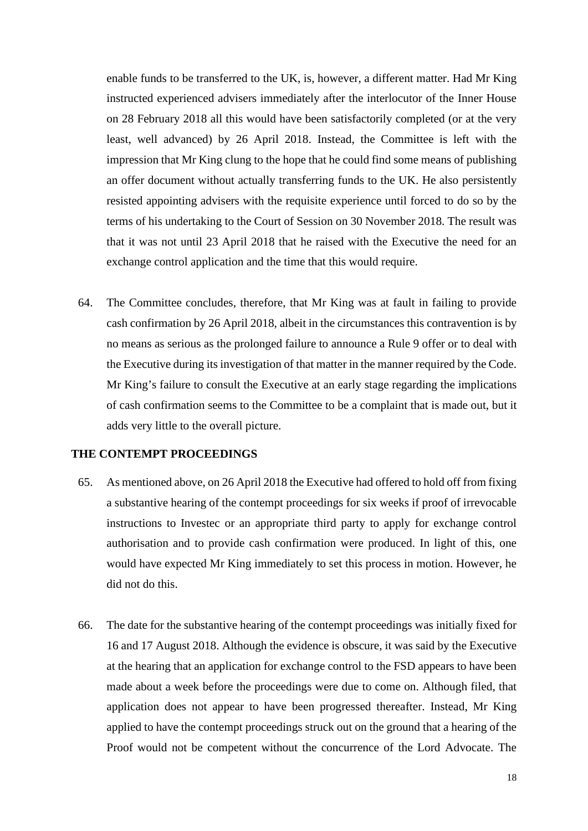enable funds to be transferred to the UK, is, however, a different matter. Had Mr King instructed experienced advisers immediately after the interlocutor of the Inner House on 28 February 2018 all this would have been satisfactorily completed (or at the very least, well advanced) by 26 April 2018. Instead, the Committee is left with the impression that Mr King clung to the hope that he could find some means of publishing an offer document without actually transferring funds to the UK. He also persistently resisted appointing advisers with the requisite experience until forced to do so by the terms of his undertaking to the Court of Session on 30 November 2018. The result was that it was not until 23 April 2018 that he raised with the Executive the need for an exchange control application and the time that this would require.

64. The Committee concludes, therefore, that Mr King was at fault in failing to provide cash confirmation by 26 April 2018, albeit in the circumstances this contravention is by no means as serious as the prolonged failure to announce a Rule 9 offer or to deal with the Executive during its investigation of that matter in the manner required by the Code. Mr King's failure to consult the Executive at an early stage regarding the implications of cash confirmation seems to the Committee to be a complaint that is made out, but it adds very little to the overall picture.

### **THE CONTEMPT PROCEEDINGS**

- 65. As mentioned above, on 26 April 2018 the Executive had offered to hold off from fixing a substantive hearing of the contempt proceedings for six weeks if proof of irrevocable instructions to Investec or an appropriate third party to apply for exchange control authorisation and to provide cash confirmation were produced. In light of this, one would have expected Mr King immediately to set this process in motion. However, he did not do this.
- 66. The date for the substantive hearing of the contempt proceedings was initially fixed for 16 and 17 August 2018. Although the evidence is obscure, it was said by the Executive at the hearing that an application for exchange control to the FSD appears to have been made about a week before the proceedings were due to come on. Although filed, that application does not appear to have been progressed thereafter. Instead, Mr King applied to have the contempt proceedings struck out on the ground that a hearing of the Proof would not be competent without the concurrence of the Lord Advocate. The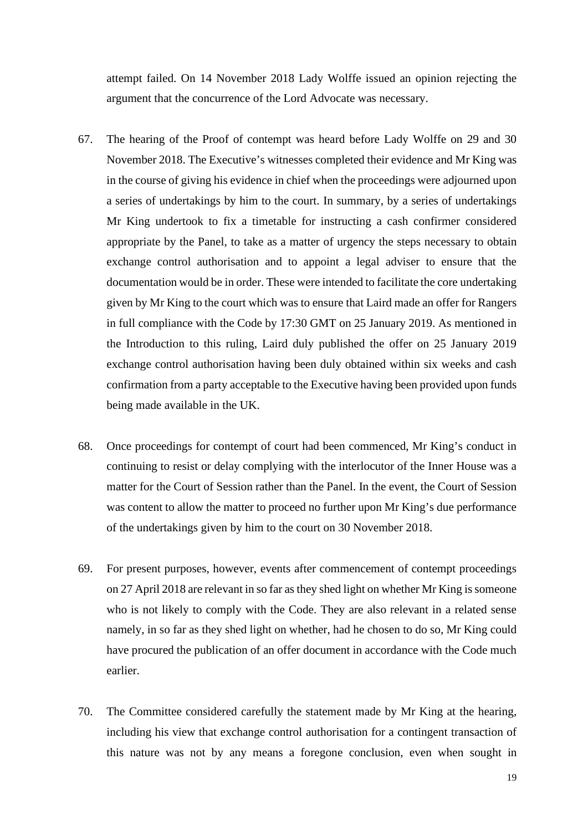attempt failed. On 14 November 2018 Lady Wolffe issued an opinion rejecting the argument that the concurrence of the Lord Advocate was necessary.

- 67. The hearing of the Proof of contempt was heard before Lady Wolffe on 29 and 30 November 2018. The Executive's witnesses completed their evidence and Mr King was in the course of giving his evidence in chief when the proceedings were adjourned upon a series of undertakings by him to the court. In summary, by a series of undertakings Mr King undertook to fix a timetable for instructing a cash confirmer considered appropriate by the Panel, to take as a matter of urgency the steps necessary to obtain exchange control authorisation and to appoint a legal adviser to ensure that the documentation would be in order. These were intended to facilitate the core undertaking given by Mr King to the court which was to ensure that Laird made an offer for Rangers in full compliance with the Code by 17:30 GMT on 25 January 2019. As mentioned in the Introduction to this ruling, Laird duly published the offer on 25 January 2019 exchange control authorisation having been duly obtained within six weeks and cash confirmation from a party acceptable to the Executive having been provided upon funds being made available in the UK.
- 68. Once proceedings for contempt of court had been commenced, Mr King's conduct in continuing to resist or delay complying with the interlocutor of the Inner House was a matter for the Court of Session rather than the Panel. In the event, the Court of Session was content to allow the matter to proceed no further upon Mr King's due performance of the undertakings given by him to the court on 30 November 2018.
- 69. For present purposes, however, events after commencement of contempt proceedings on 27 April 2018 are relevant in so far as they shed light on whether Mr King is someone who is not likely to comply with the Code. They are also relevant in a related sense namely, in so far as they shed light on whether, had he chosen to do so, Mr King could have procured the publication of an offer document in accordance with the Code much earlier.
- 70. The Committee considered carefully the statement made by Mr King at the hearing, including his view that exchange control authorisation for a contingent transaction of this nature was not by any means a foregone conclusion, even when sought in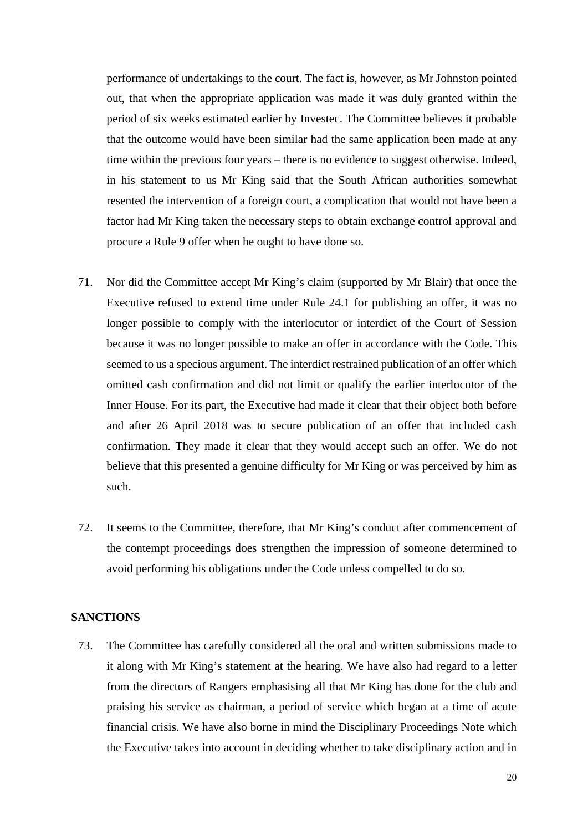performance of undertakings to the court. The fact is, however, as Mr Johnston pointed out, that when the appropriate application was made it was duly granted within the period of six weeks estimated earlier by Investec. The Committee believes it probable that the outcome would have been similar had the same application been made at any time within the previous four years – there is no evidence to suggest otherwise. Indeed, in his statement to us Mr King said that the South African authorities somewhat resented the intervention of a foreign court, a complication that would not have been a factor had Mr King taken the necessary steps to obtain exchange control approval and procure a Rule 9 offer when he ought to have done so.

- 71. Nor did the Committee accept Mr King's claim (supported by Mr Blair) that once the Executive refused to extend time under Rule 24.1 for publishing an offer, it was no longer possible to comply with the interlocutor or interdict of the Court of Session because it was no longer possible to make an offer in accordance with the Code. This seemed to us a specious argument. The interdict restrained publication of an offer which omitted cash confirmation and did not limit or qualify the earlier interlocutor of the Inner House. For its part, the Executive had made it clear that their object both before and after 26 April 2018 was to secure publication of an offer that included cash confirmation. They made it clear that they would accept such an offer. We do not believe that this presented a genuine difficulty for Mr King or was perceived by him as such.
- 72. It seems to the Committee, therefore, that Mr King's conduct after commencement of the contempt proceedings does strengthen the impression of someone determined to avoid performing his obligations under the Code unless compelled to do so.

### **SANCTIONS**

73. The Committee has carefully considered all the oral and written submissions made to it along with Mr King's statement at the hearing. We have also had regard to a letter from the directors of Rangers emphasising all that Mr King has done for the club and praising his service as chairman, a period of service which began at a time of acute financial crisis. We have also borne in mind the Disciplinary Proceedings Note which the Executive takes into account in deciding whether to take disciplinary action and in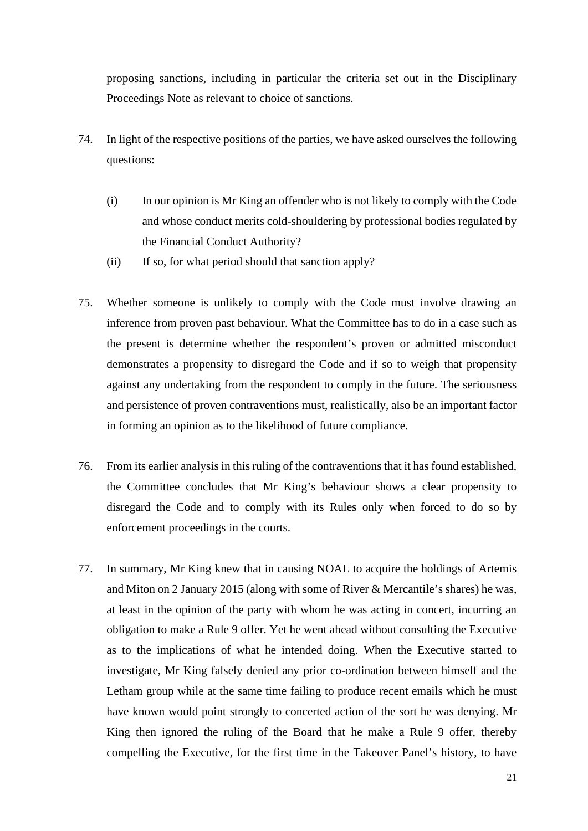proposing sanctions, including in particular the criteria set out in the Disciplinary Proceedings Note as relevant to choice of sanctions.

- 74. In light of the respective positions of the parties, we have asked ourselves the following questions:
	- (i) In our opinion is Mr King an offender who is not likely to comply with the Code and whose conduct merits cold-shouldering by professional bodies regulated by the Financial Conduct Authority?
	- (ii) If so, for what period should that sanction apply?
- 75. Whether someone is unlikely to comply with the Code must involve drawing an inference from proven past behaviour. What the Committee has to do in a case such as the present is determine whether the respondent's proven or admitted misconduct demonstrates a propensity to disregard the Code and if so to weigh that propensity against any undertaking from the respondent to comply in the future. The seriousness and persistence of proven contraventions must, realistically, also be an important factor in forming an opinion as to the likelihood of future compliance.
- 76. From its earlier analysis in this ruling of the contraventions that it has found established, the Committee concludes that Mr King's behaviour shows a clear propensity to disregard the Code and to comply with its Rules only when forced to do so by enforcement proceedings in the courts.
- 77. In summary, Mr King knew that in causing NOAL to acquire the holdings of Artemis and Miton on 2 January 2015 (along with some of River & Mercantile's shares) he was, at least in the opinion of the party with whom he was acting in concert, incurring an obligation to make a Rule 9 offer. Yet he went ahead without consulting the Executive as to the implications of what he intended doing. When the Executive started to investigate, Mr King falsely denied any prior co-ordination between himself and the Letham group while at the same time failing to produce recent emails which he must have known would point strongly to concerted action of the sort he was denying. Mr King then ignored the ruling of the Board that he make a Rule 9 offer, thereby compelling the Executive, for the first time in the Takeover Panel's history, to have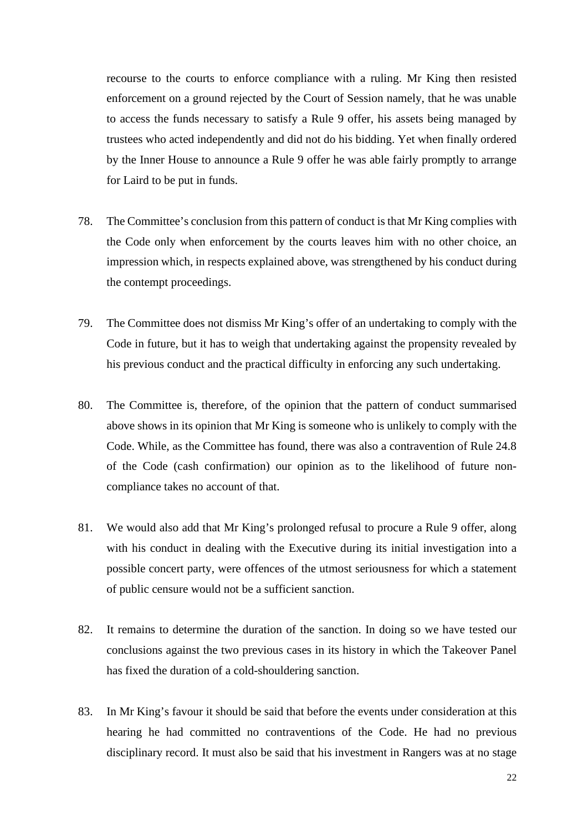recourse to the courts to enforce compliance with a ruling. Mr King then resisted enforcement on a ground rejected by the Court of Session namely, that he was unable to access the funds necessary to satisfy a Rule 9 offer, his assets being managed by trustees who acted independently and did not do his bidding. Yet when finally ordered by the Inner House to announce a Rule 9 offer he was able fairly promptly to arrange for Laird to be put in funds.

- 78. The Committee's conclusion from this pattern of conduct is that Mr King complies with the Code only when enforcement by the courts leaves him with no other choice, an impression which, in respects explained above, was strengthened by his conduct during the contempt proceedings.
- 79. The Committee does not dismiss Mr King's offer of an undertaking to comply with the Code in future, but it has to weigh that undertaking against the propensity revealed by his previous conduct and the practical difficulty in enforcing any such undertaking.
- 80. The Committee is, therefore, of the opinion that the pattern of conduct summarised above shows in its opinion that Mr King is someone who is unlikely to comply with the Code. While, as the Committee has found, there was also a contravention of Rule 24.8 of the Code (cash confirmation) our opinion as to the likelihood of future noncompliance takes no account of that.
- 81. We would also add that Mr King's prolonged refusal to procure a Rule 9 offer, along with his conduct in dealing with the Executive during its initial investigation into a possible concert party, were offences of the utmost seriousness for which a statement of public censure would not be a sufficient sanction.
- 82. It remains to determine the duration of the sanction. In doing so we have tested our conclusions against the two previous cases in its history in which the Takeover Panel has fixed the duration of a cold-shouldering sanction.
- 83. In Mr King's favour it should be said that before the events under consideration at this hearing he had committed no contraventions of the Code. He had no previous disciplinary record. It must also be said that his investment in Rangers was at no stage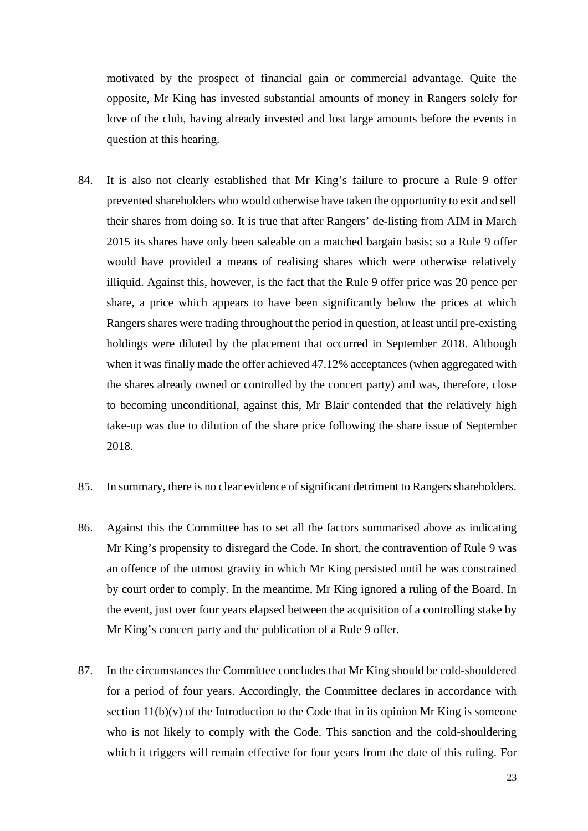motivated by the prospect of financial gain or commercial advantage. Quite the opposite, Mr King has invested substantial amounts of money in Rangers solely for love of the club, having already invested and lost large amounts before the events in question at this hearing.

- 84. It is also not clearly established that Mr King's failure to procure a Rule 9 offer prevented shareholders who would otherwise have taken the opportunity to exit and sell their shares from doing so. It is true that after Rangers' de-listing from AIM in March 2015 its shares have only been saleable on a matched bargain basis; so a Rule 9 offer would have provided a means of realising shares which were otherwise relatively illiquid. Against this, however, is the fact that the Rule 9 offer price was 20 pence per share, a price which appears to have been significantly below the prices at which Rangers shares were trading throughout the period in question, at least until pre-existing holdings were diluted by the placement that occurred in September 2018. Although when it was finally made the offer achieved 47.12% acceptances (when aggregated with the shares already owned or controlled by the concert party) and was, therefore, close to becoming unconditional, against this, Mr Blair contended that the relatively high take-up was due to dilution of the share price following the share issue of September 2018.
- 85. In summary, there is no clear evidence of significant detriment to Rangers shareholders.
- 86. Against this the Committee has to set all the factors summarised above as indicating Mr King's propensity to disregard the Code. In short, the contravention of Rule 9 was an offence of the utmost gravity in which Mr King persisted until he was constrained by court order to comply. In the meantime, Mr King ignored a ruling of the Board. In the event, just over four years elapsed between the acquisition of a controlling stake by Mr King's concert party and the publication of a Rule 9 offer.
- 87. In the circumstances the Committee concludes that Mr King should be cold-shouldered for a period of four years. Accordingly, the Committee declares in accordance with section  $11(b)(v)$  of the Introduction to the Code that in its opinion Mr King is someone who is not likely to comply with the Code. This sanction and the cold-shouldering which it triggers will remain effective for four years from the date of this ruling. For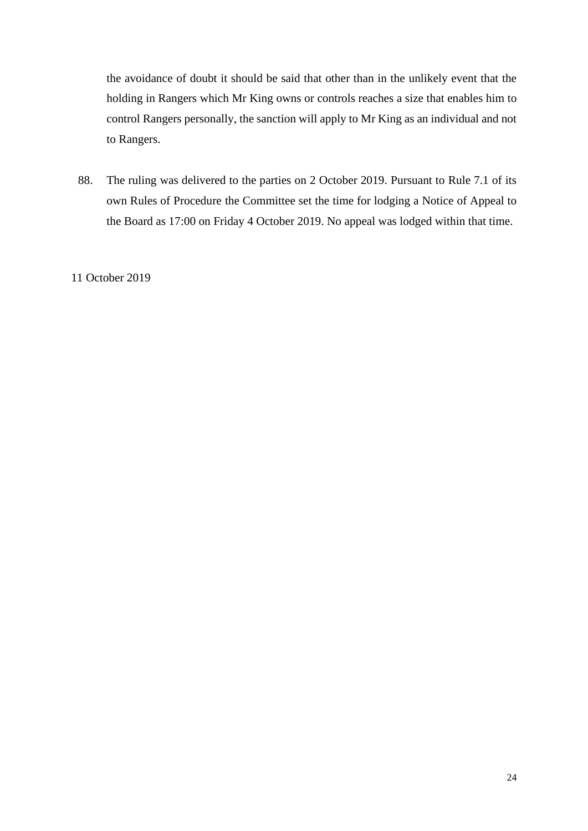the avoidance of doubt it should be said that other than in the unlikely event that the holding in Rangers which Mr King owns or controls reaches a size that enables him to control Rangers personally, the sanction will apply to Mr King as an individual and not to Rangers.

88. The ruling was delivered to the parties on 2 October 2019. Pursuant to Rule 7.1 of its own Rules of Procedure the Committee set the time for lodging a Notice of Appeal to the Board as 17:00 on Friday 4 October 2019. No appeal was lodged within that time.

11 October 2019